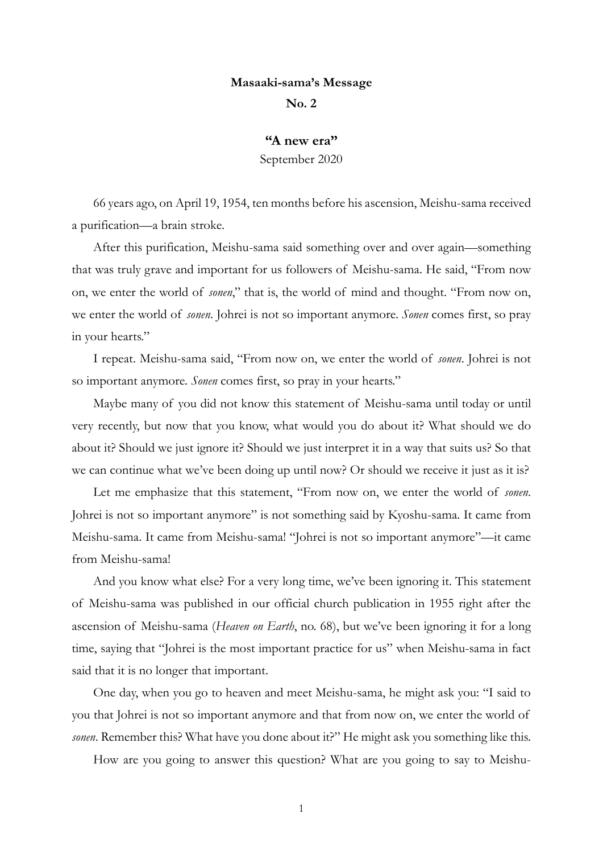## **Masaaki-sama's Message**

**No. 2**

## **"A new era"**

September 2020

66 years ago, on April 19, 1954, ten months before his ascension, Meishu-sama received a purification—a brain stroke.

After this purification, Meishu-sama said something over and over again—something that was truly grave and important for us followers of Meishu-sama. He said, "From now on, we enter the world of *sonen*," that is, the world of mind and thought. "From now on, we enter the world of *sonen*. Johrei is not so important anymore. *Sonen* comes first, so pray in your hearts."

I repeat. Meishu-sama said, "From now on, we enter the world of *sonen*. Johrei is not so important anymore. *Sonen* comes first, so pray in your hearts."

Maybe many of you did not know this statement of Meishu-sama until today or until very recently, but now that you know, what would you do about it? What should we do about it? Should we just ignore it? Should we just interpret it in a way that suits us? So that we can continue what we've been doing up until now? Or should we receive it just as it is?

Let me emphasize that this statement, "From now on, we enter the world of *sonen*. Johrei is not so important anymore" is not something said by Kyoshu-sama. It came from Meishu-sama. It came from Meishu-sama! "Johrei is not so important anymore"—it came from Meishu-sama!

And you know what else? For a very long time, we've been ignoring it. This statement of Meishu-sama was published in our official church publication in 1955 right after the ascension of Meishu-sama (*Heaven on Earth*, no. 68), but we've been ignoring it for a long time, saying that "Johrei is the most important practice for us" when Meishu-sama in fact said that it is no longer that important.

One day, when you go to heaven and meet Meishu-sama, he might ask you: "I said to you that Johrei is not so important anymore and that from now on, we enter the world of *sonen*. Remember this? What have you done about it?" He might ask you something like this.

How are you going to answer this question? What are you going to say to Meishu-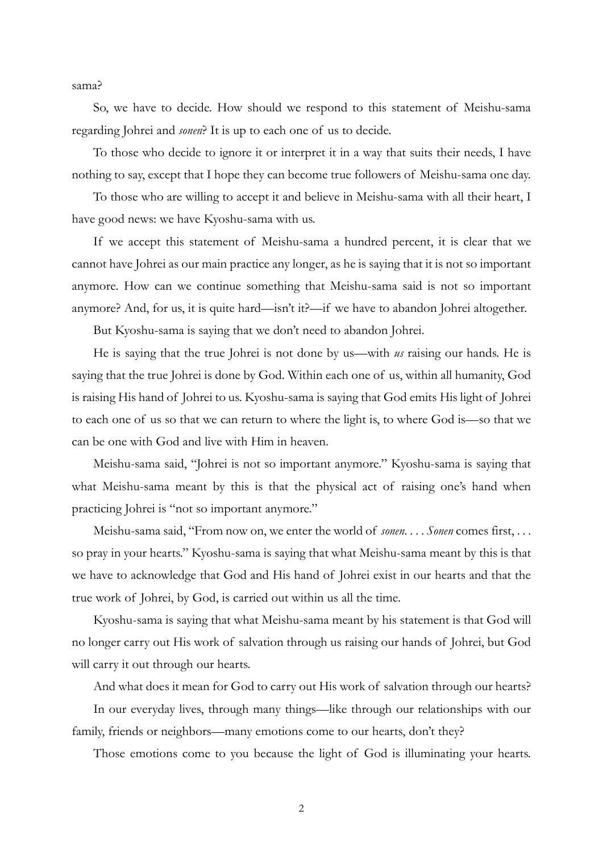sama?

So, we have to decide. How should we respond to this statement of Meishu-sama regarding Johrei and *sonen*? It is up to each one of us to decide.

To those who decide to ignore it or interpret it in a way that suits their needs, I have nothing to say, except that I hope they can become true followers of Meishu-sama one day.

To those who are willing to accept it and believe in Meishu-sama with all their heart, I have good news: we have Kyoshu-sama with us.

If we accept this statement of Meishu-sama a hundred percent, it is clear that we cannot have Johrei as our main practice any longer, as he is saying that it is not so important anymore. How can we continue something that Meishu-sama said is not so important anymore? And, for us, it is quite hard—isn't it?—if we have to abandon Johrei altogether.

But Kyoshu-sama is saying that we don't need to abandon Johrei.

He is saying that the true Johrei is not done by us—with *us* raising our hands. He is saying that the true Johrei is done by God. Within each one of us, within all humanity, God is raising His hand of Johrei to us. Kyoshu-sama is saying that God emits His light of Johrei to each one of us so that we can return to where the light is, to where God is—so that we can be one with God and live with Him in heaven.

Meishu-sama said, "Johrei is not so important anymore." Kyoshu-sama is saying that what Meishu-sama meant by this is that the physical act of raising one's hand when practicing Johrei is "not so important anymore."

Meishu-sama said, "From now on, we enter the world of *sonen*. . . . *Sonen* comes first, . . . so pray in your hearts." Kyoshu-sama is saying that what Meishu-sama meant by this is that we have to acknowledge that God and His hand of Johrei exist in our hearts and that the true work of Johrei, by God, is carried out within us all the time.

Kyoshu-sama is saying that what Meishu-sama meant by his statement is that God will no longer carry out His work of salvation through us raising our hands of Johrei, but God will carry it out through our hearts.

And what does it mean for God to carry out His work of salvation through our hearts?

In our everyday lives, through many things—like through our relationships with our family, friends or neighbors—many emotions come to our hearts, don't they?

Those emotions come to you because the light of God is illuminating your hearts.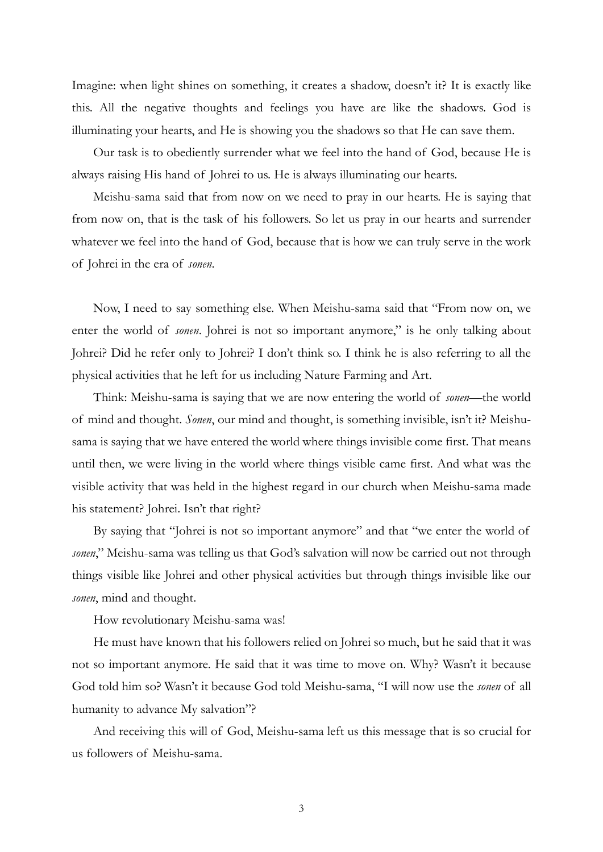Imagine: when light shines on something, it creates a shadow, doesn't it? It is exactly like this. All the negative thoughts and feelings you have are like the shadows. God is illuminating your hearts, and He is showing you the shadows so that He can save them.

Our task is to obediently surrender what we feel into the hand of God, because He is always raising His hand of Johrei to us. He is always illuminating our hearts.

Meishu-sama said that from now on we need to pray in our hearts. He is saying that from now on, that is the task of his followers. So let us pray in our hearts and surrender whatever we feel into the hand of God, because that is how we can truly serve in the work of Johrei in the era of *sonen*.

Now, I need to say something else. When Meishu-sama said that "From now on, we enter the world of *sonen*. Johrei is not so important anymore," is he only talking about Johrei? Did he refer only to Johrei? I don't think so. I think he is also referring to all the physical activities that he left for us including Nature Farming and Art.

Think: Meishu-sama is saying that we are now entering the world of *sonen*—the world of mind and thought. *Sonen*, our mind and thought, is something invisible, isn't it? Meishusama is saying that we have entered the world where things invisible come first. That means until then, we were living in the world where things visible came first. And what was the visible activity that was held in the highest regard in our church when Meishu-sama made his statement? Johrei. Isn't that right?

By saying that "Johrei is not so important anymore" and that "we enter the world of *sonen*," Meishu-sama was telling us that God's salvation will now be carried out not through things visible like Johrei and other physical activities but through things invisible like our *sonen*, mind and thought.

How revolutionary Meishu-sama was!

He must have known that his followers relied on Johrei so much, but he said that it was not so important anymore. He said that it was time to move on. Why? Wasn't it because God told him so? Wasn't it because God told Meishu-sama, "I will now use the *sonen* of all humanity to advance My salvation"?

And receiving this will of God, Meishu-sama left us this message that is so crucial for us followers of Meishu-sama.